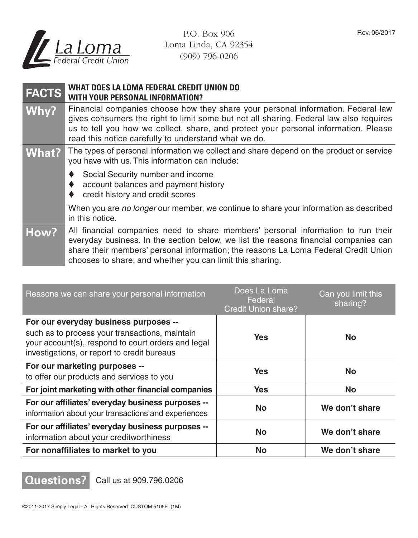

P.O. Box 906 Loma Linda, CA 92354 (909) 796-0206

## **FACTS WHAT DOES LA LOMA FEDERAL CREDIT UNION DO WITH YOUR PERSONAL INFORMATION?**

Why? Financial companies choose how they share your personal information. Federal law gives consumers the right to limit some but not all sharing. Federal law also requires us to tell you how we collect, share, and protect your personal information. Please read this notice carefully to understand what we do.

## What? The types of personal information we collect and share depend on the product or service you have with us. This information can include:

- Social Security number and income
- ♦ account balances and payment history
- ♦ credit history and credit scores

When you are *no longer* our member, we continue to share your information as described in this notice.

**How?** All financial companies need to share members' personal information to run their everyday business. In the section below, we list the reasons financial companies can share their members' personal information; the reasons La Loma Federal Credit Union chooses to share; and whether you can limit this sharing.

| Reasons we can share your personal information                                                                                                                                               | Does La Loma<br>Federal<br><b>Credit Union share?</b> | Can you limit this<br>sharing? |
|----------------------------------------------------------------------------------------------------------------------------------------------------------------------------------------------|-------------------------------------------------------|--------------------------------|
| For our everyday business purposes --<br>such as to process your transactions, maintain<br>your account(s), respond to court orders and legal<br>investigations, or report to credit bureaus | <b>Yes</b>                                            | <b>No</b>                      |
| For our marketing purposes --<br>to offer our products and services to you                                                                                                                   | Yes                                                   | <b>No</b>                      |
| For joint marketing with other financial companies                                                                                                                                           | <b>Yes</b>                                            | <b>No</b>                      |
| For our affiliates' everyday business purposes --<br>information about your transactions and experiences                                                                                     | <b>No</b>                                             | We don't share                 |
| For our affiliates' everyday business purposes --<br>information about your creditworthiness                                                                                                 | <b>No</b>                                             | We don't share                 |
| For nonaffiliates to market to you                                                                                                                                                           | No                                                    | We don't share                 |

**Questions?** Call us at 909.796.0206